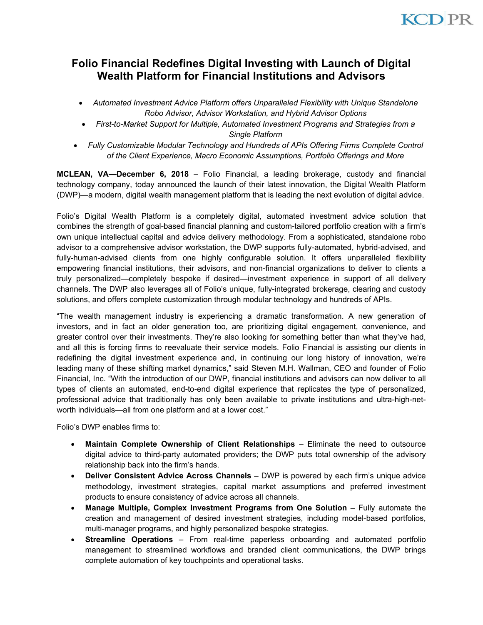# **KCDPR**

# **Folio Financial Redefines Digital Investing with Launch of Digital Wealth Platform for Financial Institutions and Advisors**

- *Automated Investment Advice Platform offers Unparalleled Flexibility with Unique Standalone Robo Advisor, Advisor Workstation, and Hybrid Advisor Options*
- *First-to-Market Support for Multiple, Automated Investment Programs and Strategies from a Single Platform*
- *Fully Customizable Modular Technology and Hundreds of APIs Offering Firms Complete Control of the Client Experience, Macro Economic Assumptions, Portfolio Offerings and More*

**MCLEAN, VA—December 6, 2018** – Folio Financial, a leading brokerage, custody and financial technology company, today announced the launch of their latest innovation, the Digital Wealth Platform (DWP)—a modern, digital wealth management platform that is leading the next evolution of digital advice.

Folio's Digital Wealth Platform is a completely digital, automated investment advice solution that combines the strength of goal-based financial planning and custom-tailored portfolio creation with a firm's own unique intellectual capital and advice delivery methodology. From a sophisticated, standalone robo advisor to a comprehensive advisor workstation, the DWP supports fully-automated, hybrid-advised, and fully-human-advised clients from one highly configurable solution. It offers unparalleled flexibility empowering financial institutions, their advisors, and non-financial organizations to deliver to clients a truly personalized—completely bespoke if desired—investment experience in support of all delivery channels. The DWP also leverages all of Folio's unique, fully-integrated brokerage, clearing and custody solutions, and offers complete customization through modular technology and hundreds of APIs.

"The wealth management industry is experiencing a dramatic transformation. A new generation of investors, and in fact an older generation too, are prioritizing digital engagement, convenience, and greater control over their investments. They're also looking for something better than what they've had, and all this is forcing firms to reevaluate their service models. Folio Financial is assisting our clients in redefining the digital investment experience and, in continuing our long history of innovation, we're leading many of these shifting market dynamics," said Steven M.H. Wallman, CEO and founder of Folio Financial, Inc. "With the introduction of our DWP, financial institutions and advisors can now deliver to all types of clients an automated, end-to-end digital experience that replicates the type of personalized, professional advice that traditionally has only been available to private institutions and ultra-high-networth individuals—all from one platform and at a lower cost."

Folio's DWP enables firms to:

- **Maintain Complete Ownership of Client Relationships** Eliminate the need to outsource digital advice to third-party automated providers; the DWP puts total ownership of the advisory relationship back into the firm's hands.
- **Deliver Consistent Advice Across Channels** DWP is powered by each firm's unique advice methodology, investment strategies, capital market assumptions and preferred investment products to ensure consistency of advice across all channels.
- **Manage Multiple, Complex Investment Programs from One Solution** Fully automate the creation and management of desired investment strategies, including model-based portfolios, multi-manager programs, and highly personalized bespoke strategies.
- **Streamline Operations** From real-time paperless onboarding and automated portfolio management to streamlined workflows and branded client communications, the DWP brings complete automation of key touchpoints and operational tasks.